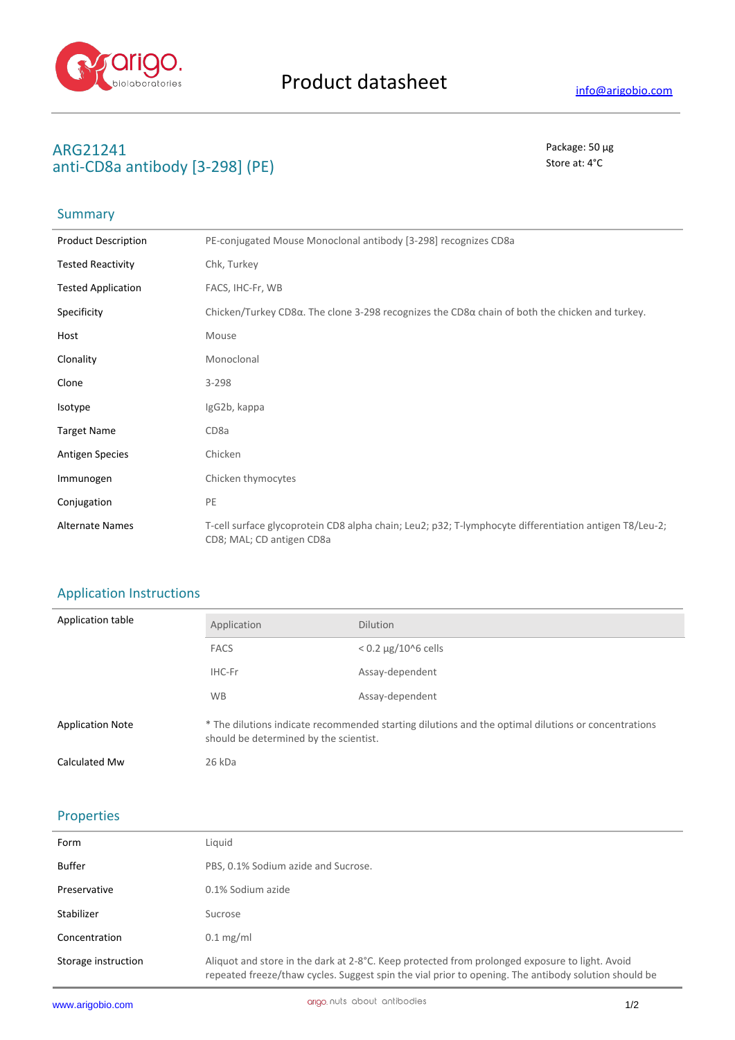

### **ARG21241** Package: 50 μg anti-CD8a antibody [3-298] (PE) Store at: 4<sup>°</sup>C

## Summary

| <b>Product Description</b> | PE-conjugated Mouse Monoclonal antibody [3-298] recognizes CD8a                                                                     |
|----------------------------|-------------------------------------------------------------------------------------------------------------------------------------|
| <b>Tested Reactivity</b>   | Chk, Turkey                                                                                                                         |
| <b>Tested Application</b>  | FACS, IHC-Fr, WB                                                                                                                    |
| Specificity                | Chicken/Turkey CD8 $\alpha$ . The clone 3-298 recognizes the CD8 $\alpha$ chain of both the chicken and turkey.                     |
| Host                       | Mouse                                                                                                                               |
| Clonality                  | Monoclonal                                                                                                                          |
| Clone                      | $3 - 298$                                                                                                                           |
| Isotype                    | IgG2b, kappa                                                                                                                        |
| <b>Target Name</b>         | CD <sub>8a</sub>                                                                                                                    |
| <b>Antigen Species</b>     | Chicken                                                                                                                             |
| Immunogen                  | Chicken thymocytes                                                                                                                  |
| Conjugation                | PE                                                                                                                                  |
| <b>Alternate Names</b>     | T-cell surface glycoprotein CD8 alpha chain; Leu2; p32; T-lymphocyte differentiation antigen T8/Leu-2;<br>CD8; MAL; CD antigen CD8a |

# Application Instructions

| Application table       | Application                                                                                                                                   | <b>Dilution</b>              |
|-------------------------|-----------------------------------------------------------------------------------------------------------------------------------------------|------------------------------|
|                         | <b>FACS</b>                                                                                                                                   | $< 0.2 \mu g / 10^{6}$ cells |
|                         | IHC-Fr                                                                                                                                        | Assay-dependent              |
|                         | <b>WB</b>                                                                                                                                     | Assay-dependent              |
| <b>Application Note</b> | * The dilutions indicate recommended starting dilutions and the optimal dilutions or concentrations<br>should be determined by the scientist. |                              |
| Calculated Mw           | 26 kDa                                                                                                                                        |                              |

#### Properties

| Form                | Liguid                                                                                                                                                                                                 |
|---------------------|--------------------------------------------------------------------------------------------------------------------------------------------------------------------------------------------------------|
| <b>Buffer</b>       | PBS, 0.1% Sodium azide and Sucrose.                                                                                                                                                                    |
| Preservative        | 0.1% Sodium azide                                                                                                                                                                                      |
| Stabilizer          | Sucrose                                                                                                                                                                                                |
| Concentration       | $0.1 \text{ mg/ml}$                                                                                                                                                                                    |
| Storage instruction | Aliquot and store in the dark at 2-8°C. Keep protected from prolonged exposure to light. Avoid<br>repeated freeze/thaw cycles. Suggest spin the vial prior to opening. The antibody solution should be |